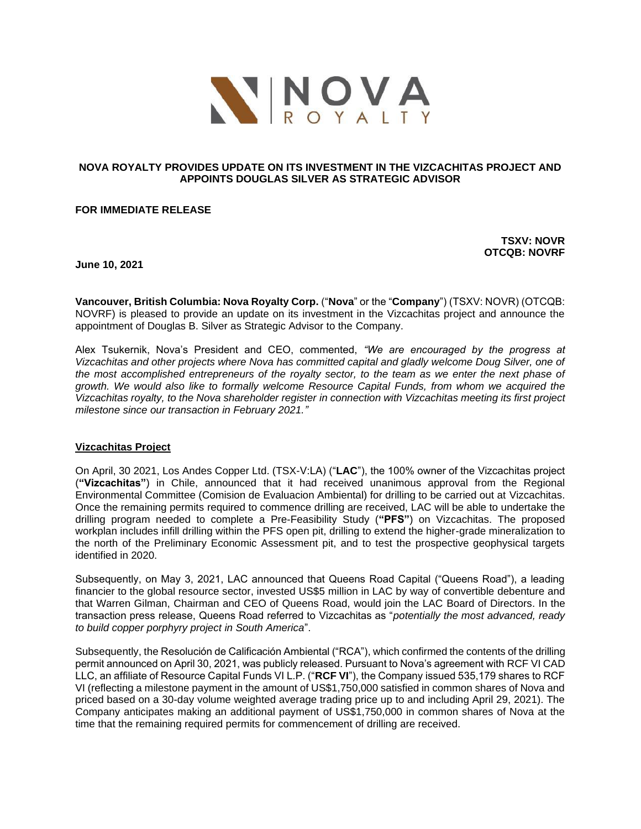

# **NOVA ROYALTY PROVIDES UPDATE ON ITS INVESTMENT IN THE VIZCACHITAS PROJECT AND APPOINTS DOUGLAS SILVER AS STRATEGIC ADVISOR**

# **FOR IMMEDIATE RELEASE**

**TSXV: NOVR OTCQB: NOVRF**

**June 10, 2021**

**Vancouver, British Columbia: Nova Royalty Corp.** ("**Nova**" or the "**Company**") (TSXV: NOVR) (OTCQB: NOVRF) is pleased to provide an update on its investment in the Vizcachitas project and announce the appointment of Douglas B. Silver as Strategic Advisor to the Company.

Alex Tsukernik, Nova's President and CEO, commented, *"We are encouraged by the progress at Vizcachitas and other projects where Nova has committed capital and gladly welcome Doug Silver, one of the most accomplished entrepreneurs of the royalty sector, to the team as we enter the next phase of growth. We would also like to formally welcome Resource Capital Funds, from whom we acquired the Vizcachitas royalty, to the Nova shareholder register in connection with Vizcachitas meeting its first project milestone since our transaction in February 2021."*

# **Vizcachitas Project**

On April, 30 2021, Los Andes Copper Ltd. (TSX-V:LA) ("**LAC**"), the 100% owner of the Vizcachitas project (**"Vizcachitas"**) in Chile, announced that it had received unanimous approval from the Regional Environmental Committee (Comision de Evaluacion Ambiental) for drilling to be carried out at Vizcachitas. Once the remaining permits required to commence drilling are received, LAC will be able to undertake the drilling program needed to complete a Pre-Feasibility Study (**"PFS"**) on Vizcachitas. The proposed workplan includes infill drilling within the PFS open pit, drilling to extend the higher-grade mineralization to the north of the Preliminary Economic Assessment pit, and to test the prospective geophysical targets identified in 2020.

Subsequently, on May 3, 2021, LAC announced that Queens Road Capital ("Queens Road"), a leading financier to the global resource sector, invested US\$5 million in LAC by way of convertible debenture and that Warren Gilman, Chairman and CEO of Queens Road, would join the LAC Board of Directors. In the transaction press release, Queens Road referred to Vizcachitas as "*potentially the most advanced, ready to build copper porphyry project in South America*".

Subsequently, the Resolución de Calificación Ambiental ("RCA"), which confirmed the contents of the drilling permit announced on April 30, 2021, was publicly released. Pursuant to Nova's agreement with RCF VI CAD LLC, an affiliate of Resource Capital Funds VI L.P. ("**RCF VI**"), the Company issued 535,179 shares to RCF VI (reflecting a milestone payment in the amount of US\$1,750,000 satisfied in common shares of Nova and priced based on a 30-day volume weighted average trading price up to and including April 29, 2021). The Company anticipates making an additional payment of US\$1,750,000 in common shares of Nova at the time that the remaining required permits for commencement of drilling are received.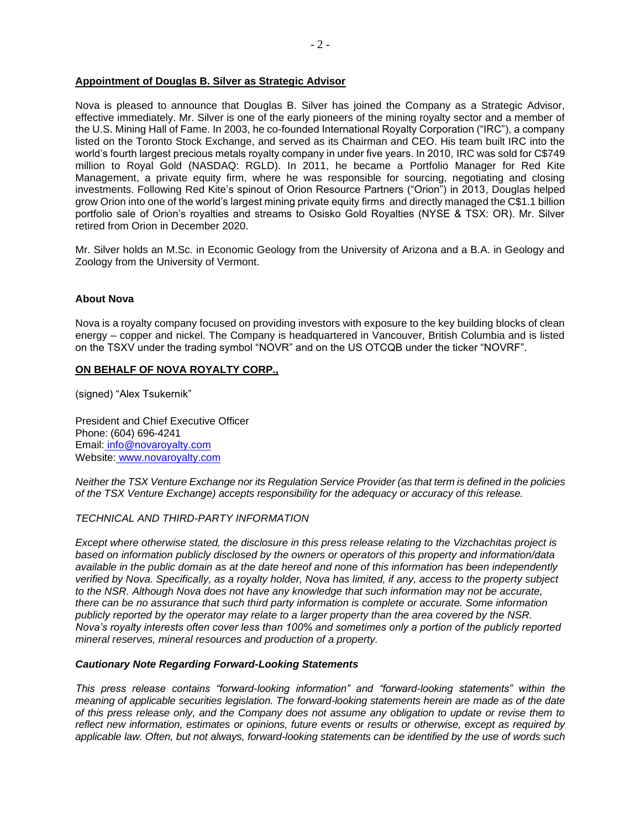# **Appointment of Douglas B. Silver as Strategic Advisor**

Nova is pleased to announce that Douglas B. Silver has joined the Company as a Strategic Advisor, effective immediately. Mr. Silver is one of the early pioneers of the mining royalty sector and a member of the U.S. Mining Hall of Fame. In 2003, he co-founded International Royalty Corporation ("IRC"), a company listed on the Toronto Stock Exchange, and served as its Chairman and CEO. His team built IRC into the world's fourth largest precious metals royalty company in under five years. In 2010, IRC was sold for C\$749 million to Royal Gold (NASDAQ: RGLD). In 2011, he became a Portfolio Manager for Red Kite Management, a private equity firm, where he was responsible for sourcing, negotiating and closing investments. Following Red Kite's spinout of Orion Resource Partners ("Orion") in 2013, Douglas helped grow Orion into one of the world's largest mining private equity firms and directly managed the C\$1.1 billion portfolio sale of Orion's royalties and streams to Osisko Gold Royalties (NYSE & TSX: OR). Mr. Silver retired from Orion in December 2020.

Mr. Silver holds an M.Sc. in Economic Geology from the University of Arizona and a B.A. in Geology and Zoology from the University of Vermont.

### **About Nova**

Nova is a royalty company focused on providing investors with exposure to the key building blocks of clean energy – copper and nickel. The Company is headquartered in Vancouver, British Columbia and is listed on the TSXV under the trading symbol "NOVR" and on the US OTCQB under the ticker "NOVRF".

### **ON BEHALF OF NOVA ROYALTY CORP.,**

(signed) "Alex Tsukernik"

President and Chief Executive Officer Phone: (604) 696-4241 Email: [info@novaroyalty.com](mailto:info@novaroyalty.com) Website: [www.novaroyalty.com](http://www.novaroyalty.com/)

*Neither the TSX Venture Exchange nor its Regulation Service Provider (as that term is defined in the policies of the TSX Venture Exchange) accepts responsibility for the adequacy or accuracy of this release.*

# *TECHNICAL AND THIRD-PARTY INFORMATION*

*Except where otherwise stated, the disclosure in this press release relating to the Vizchachitas project is based on information publicly disclosed by the owners or operators of this property and information/data available in the public domain as at the date hereof and none of this information has been independently verified by Nova. Specifically, as a royalty holder, Nova has limited, if any, access to the property subject to the NSR. Although Nova does not have any knowledge that such information may not be accurate, there can be no assurance that such third party information is complete or accurate. Some information publicly reported by the operator may relate to a larger property than the area covered by the NSR. Nova's royalty interests often cover less than 100% and sometimes only a portion of the publicly reported mineral reserves, mineral resources and production of a property.*

#### *Cautionary Note Regarding Forward-Looking Statements*

*This press release contains "forward-looking information" and "forward-looking statements" within the meaning of applicable securities legislation. The forward-looking statements herein are made as of the date of this press release only, and the Company does not assume any obligation to update or revise them to reflect new information, estimates or opinions, future events or results or otherwise, except as required by applicable law. Often, but not always, forward-looking statements can be identified by the use of words such*